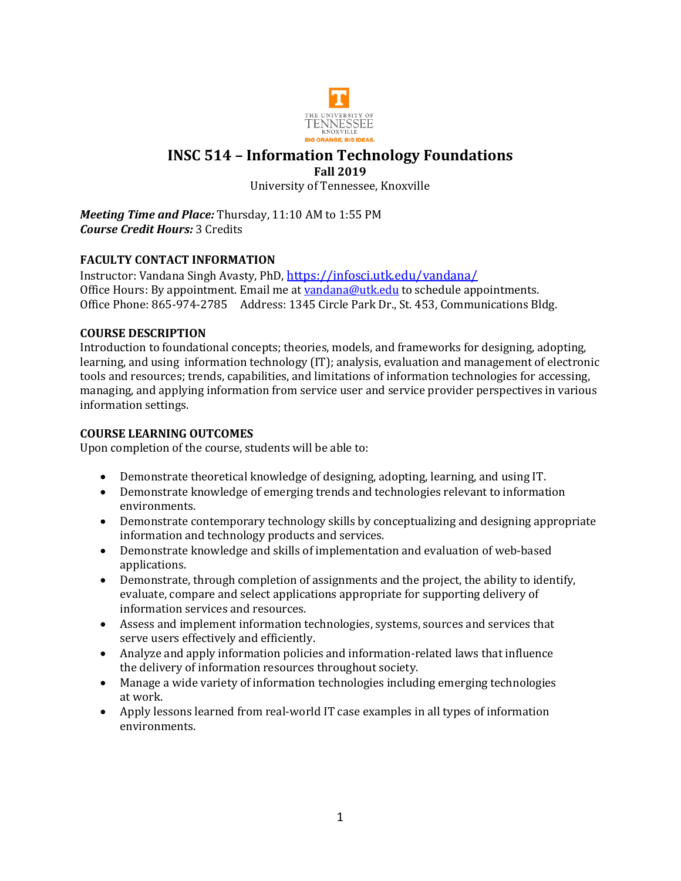

## **INSC 514 – Information Technology Foundations Fall 2019**

University of Tennessee, Knoxville

*Meeting Time and Place:* Thursday, 11:10 AM to 1:55 PM *Course Credit Hours:* 3 Credits

## **FACULTY CONTACT INFORMATION**

Instructor: Vandana Singh Avasty, PhD, <https://infosci.utk.edu/vandana/> Office Hours: By appointment. Email me a[t vandana@utk.edu](mailto:vandana@utk.edu) to schedule appointments. Office Phone: 865-974-2785 Address: 1345 Circle Park Dr., St. 453, Communications Bldg.

## **COURSE DESCRIPTION**

Introduction to foundational concepts; theories, models, and frameworks for designing, adopting, learning, and using information technology (IT); analysis, evaluation and management of electronic tools and resources; trends, capabilities, and limitations of information technologies for accessing, managing, and applying information from service user and service provider perspectives in various information settings.

## **COURSE LEARNING OUTCOMES**

Upon completion of the course, students will be able to:

- Demonstrate theoretical knowledge of designing, adopting, learning, and using IT.
- Demonstrate knowledge of emerging trends and technologies relevant to information environments.
- Demonstrate contemporary technology skills by conceptualizing and designing appropriate information and technology products and services.
- Demonstrate knowledge and skills of implementation and evaluation of web-based applications.
- Demonstrate, through completion of assignments and the project, the ability to identify, evaluate, compare and select applications appropriate for supporting delivery of information services and resources.
- Assess and implement information technologies, systems, sources and services that serve users effectively and efficiently.
- Analyze and apply information policies and information-related laws that influence the delivery of information resources throughout society.
- Manage a wide variety of information technologies including emerging technologies at work.
- Apply lessons learned from real-world IT case examples in all types of information environments.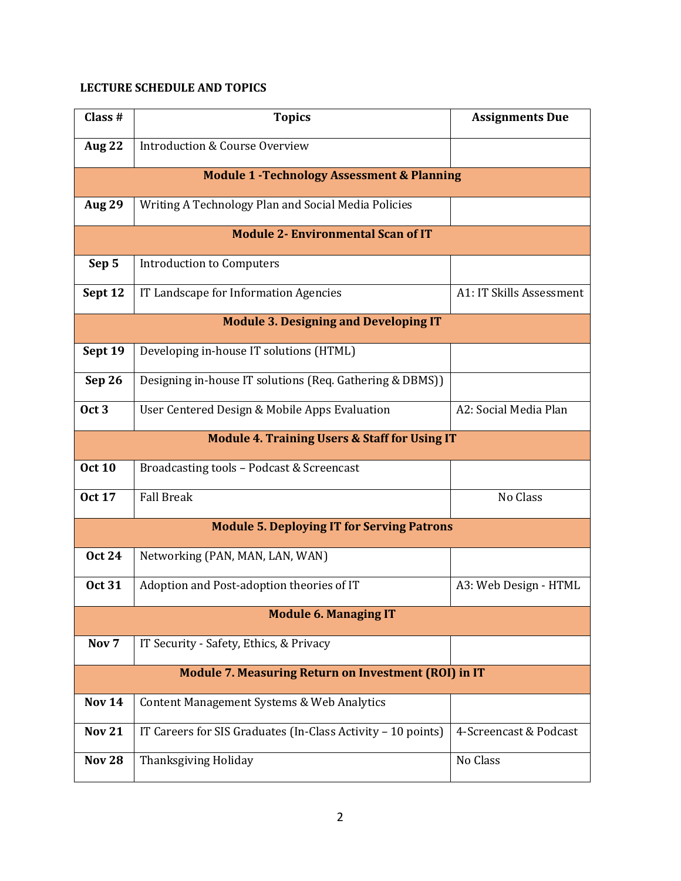# **LECTURE SCHEDULE AND TOPICS**

| Class #                                                     | <b>Topics</b>                                                | <b>Assignments Due</b>   |  |  |  |
|-------------------------------------------------------------|--------------------------------------------------------------|--------------------------|--|--|--|
| <b>Aug 22</b>                                               | Introduction & Course Overview                               |                          |  |  |  |
| <b>Module 1 - Technology Assessment &amp; Planning</b>      |                                                              |                          |  |  |  |
| <b>Aug 29</b>                                               | Writing A Technology Plan and Social Media Policies          |                          |  |  |  |
| <b>Module 2- Environmental Scan of IT</b>                   |                                                              |                          |  |  |  |
| Sep 5                                                       | <b>Introduction to Computers</b>                             |                          |  |  |  |
| Sept 12                                                     | IT Landscape for Information Agencies                        | A1: IT Skills Assessment |  |  |  |
| <b>Module 3. Designing and Developing IT</b>                |                                                              |                          |  |  |  |
| Sept 19                                                     | Developing in-house IT solutions (HTML)                      |                          |  |  |  |
| Sep 26                                                      | Designing in-house IT solutions (Req. Gathering & DBMS))     |                          |  |  |  |
| Oct <sub>3</sub>                                            | User Centered Design & Mobile Apps Evaluation                | A2: Social Media Plan    |  |  |  |
| <b>Module 4. Training Users &amp; Staff for Using IT</b>    |                                                              |                          |  |  |  |
| <b>Oct 10</b>                                               | Broadcasting tools - Podcast & Screencast                    |                          |  |  |  |
| <b>Oct 17</b>                                               | <b>Fall Break</b>                                            | No Class                 |  |  |  |
| <b>Module 5. Deploying IT for Serving Patrons</b>           |                                                              |                          |  |  |  |
| <b>Oct 24</b>                                               | Networking (PAN, MAN, LAN, WAN)                              |                          |  |  |  |
| <b>Oct 31</b>                                               | Adoption and Post-adoption theories of IT                    | A3: Web Design - HTML    |  |  |  |
| <b>Module 6. Managing IT</b>                                |                                                              |                          |  |  |  |
| Nov <sub>7</sub>                                            | IT Security - Safety, Ethics, & Privacy                      |                          |  |  |  |
| <b>Module 7. Measuring Return on Investment (ROI) in IT</b> |                                                              |                          |  |  |  |
| <b>Nov 14</b>                                               | Content Management Systems & Web Analytics                   |                          |  |  |  |
| <b>Nov 21</b>                                               | IT Careers for SIS Graduates (In-Class Activity - 10 points) | 4-Screencast & Podcast   |  |  |  |
| <b>Nov 28</b>                                               | Thanksgiving Holiday                                         | No Class                 |  |  |  |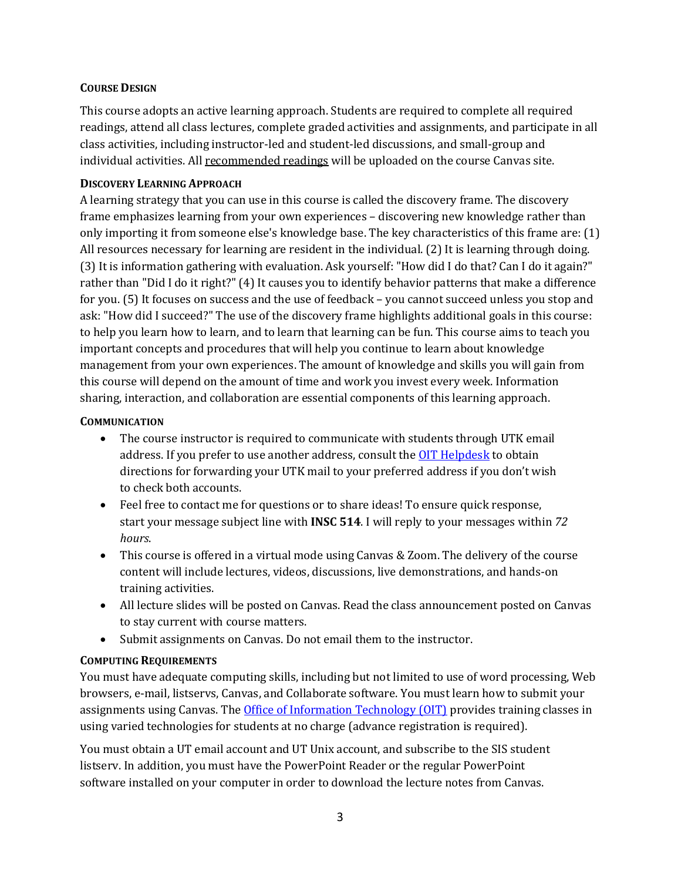### **COURSE DESIGN**

This course adopts an active learning approach. Students are required to complete all required readings, attend all class lectures, complete graded activities and assignments, and participate in all class activities, including instructor-led and student-led discussions, and small-group and individual activities. All recommended readings will be uploaded on the course Canvas site.

#### **DISCOVERY LEARNING APPROACH**

A learning strategy that you can use in this course is called the discovery frame. The discovery frame emphasizes learning from your own experiences – discovering new knowledge rather than only importing it from someone else's knowledge base. The key characteristics of this frame are: (1) All resources necessary for learning are resident in the individual. (2) It is learning through doing. (3) It is information gathering with evaluation. Ask yourself: "How did I do that? Can I do it again?" rather than "Did I do it right?" (4) It causes you to identify behavior patterns that make a difference for you. (5) It focuses on success and the use of feedback – you cannot succeed unless you stop and ask: "How did I succeed?" The use of the discovery frame highlights additional goals in this course: to help you learn how to learn, and to learn that learning can be fun. This course aims to teach you important concepts and procedures that will help you continue to learn about knowledge management from your own experiences. The amount of knowledge and skills you will gain from this course will depend on the amount of time and work you invest every week. Information sharing, interaction, and collaboration are essential components of this learning approach.

#### **COMMUNICATION**

- The course instructor is required to communicate with students through UTK email address. If you prefer to use another address, consult th[e OIT Helpdesk](http://oit.utk.edu/email.php) to obtain directions for forwarding your UTK mail to your preferred address if you don't wish to check both accounts.
- Feel free to contact me for questions or to share ideas! To ensure quick response, start your message subject line with **INSC 514**. I will reply to your messages within *72 hours*.
- This course is offered in a virtual mode using Canvas & Zoom. The delivery of the course content will include lectures, videos, discussions, live demonstrations, and hands-on training activities.
- All lecture slides will be posted on Canvas. Read the class announcement posted on Canvas to stay current with course matters.
- Submit assignments on Canvas. Do not email them to the instructor.

## **COMPUTING REQUIREMENTS**

You must have adequate computing skills, including but not limited to use of word processing, Web browsers, e-mail, listservs, Canvas, and Collaborate software. You must learn how to submit your assignments using Canvas. The [Office of Information Technology \(OIT\)](http://oit.utk.edu/) provides training classes in using varied technologies for students at no charge (advance registration is required).

You must obtain a UT email account and UT Unix account, and subscribe to the SIS student listserv. In addition, you must have the PowerPoint Reader or the regular PowerPoint software installed on your computer in order to download the lecture notes from Canvas.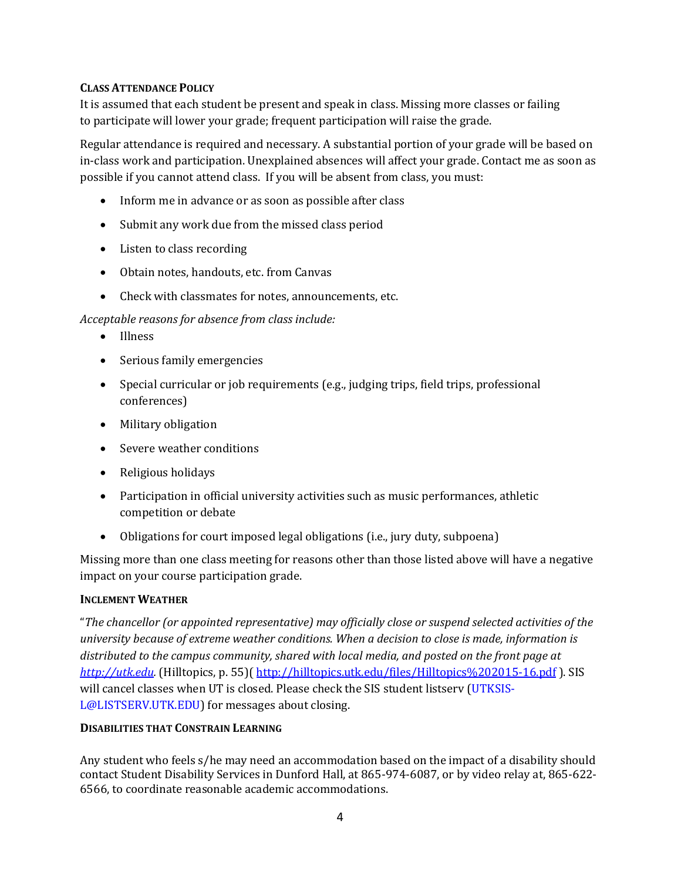### **CLASS ATTENDANCE POLICY**

It is assumed that each student be present and speak in class. Missing more classes or failing to participate will lower your grade; frequent participation will raise the grade.

Regular attendance is required and necessary. A substantial portion of your grade will be based on in-class work and participation. Unexplained absences will affect your grade. Contact me as soon as possible if you cannot attend class. If you will be absent from class, you must:

- Inform me in advance or as soon as possible after class
- Submit any work due from the missed class period
- Listen to class recording
- Obtain notes, handouts, etc. from Canvas
- Check with classmates for notes, announcements, etc.

#### *Acceptable reasons for absence from class include:*

- Illness
- Serious family emergencies
- Special curricular or job requirements (e.g., judging trips, field trips, professional conferences)
- Military obligation
- Severe weather conditions
- Religious holidays
- Participation in official university activities such as music performances, athletic competition or debate
- Obligations for court imposed legal obligations (i.e., jury duty, subpoena)

Missing more than one class meeting for reasons other than those listed above will have a negative impact on your course participation grade.

#### **INCLEMENT WEATHER**

"*The chancellor (or appointed representative) may officially close or suspend selected activities of the university because of extreme weather conditions. When a decision to close is made, information is distributed to the campus community, shared with local media, and posted on the front page at [http://utk.edu.](http://utk.edu/)* (Hilltopics, p. 55)( <http://hilltopics.utk.edu/files/Hilltopics%202015-16.pdf> ). SIS will cancel classes when UT is closed. Please check the SIS student listserv (UTKSIS-L@LISTSERV.UTK.EDU) for messages about closing.

#### **DISABILITIES THAT CONSTRAIN LEARNING**

Any student who feels s/he may need an accommodation based on the impact of a disability should contact Student Disability Services in Dunford Hall, at 865-974-6087, or by video relay at, 865-622- 6566, to coordinate reasonable academic accommodations.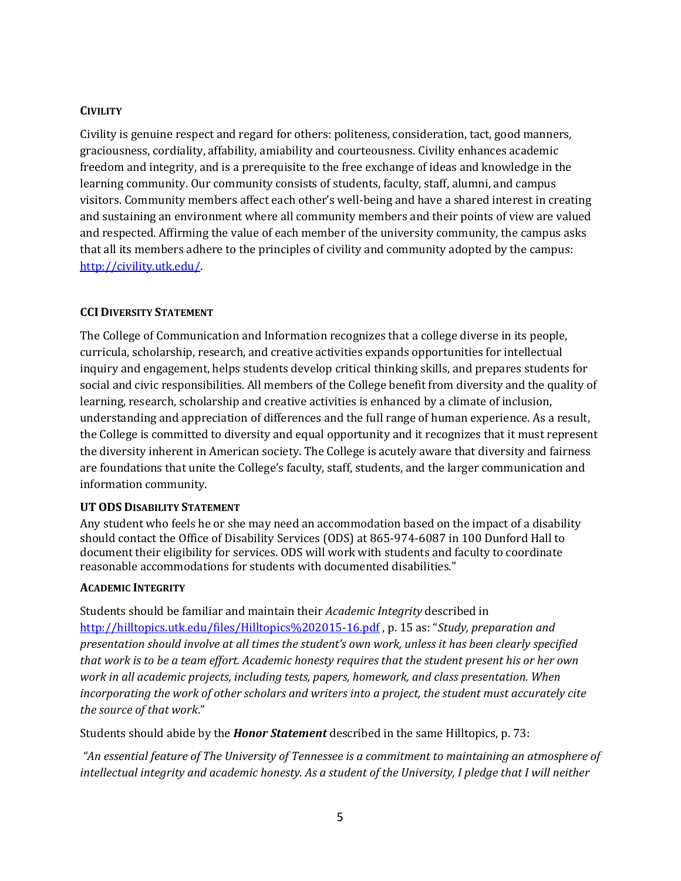## **CIVILITY**

Civility is genuine respect and regard for others: politeness, consideration, tact, good manners, graciousness, cordiality, affability, amiability and courteousness. Civility enhances academic freedom and integrity, and is a prerequisite to the free exchange of ideas and knowledge in the learning community. Our community consists of students, faculty, staff, alumni, and campus visitors. Community members affect each other's well-being and have a shared interest in creating and sustaining an environment where all community members and their points of view are valued and respected. Affirming the value of each member of the university community, the campus asks that all its members adhere to the principles of civility and community adopted by the campus: [http://civility.utk.edu/.](http://civility.utk.edu/)

## **CCI DIVERSITY STATEMENT**

The College of Communication and Information recognizes that a college diverse in its people, curricula, scholarship, research, and creative activities expands opportunities for intellectual inquiry and engagement, helps students develop critical thinking skills, and prepares students for social and civic responsibilities. All members of the College benefit from diversity and the quality of learning, research, scholarship and creative activities is enhanced by a climate of inclusion, understanding and appreciation of differences and the full range of human experience. As a result, the College is committed to diversity and equal opportunity and it recognizes that it must represent the diversity inherent in American society. The College is acutely aware that diversity and fairness are foundations that unite the College's faculty, staff, students, and the larger communication and information community.

## **UT ODS DISABILITY STATEMENT**

Any student who feels he or she may need an accommodation based on the impact of a disability should contact the Office of Disability Services (ODS) at 865-974-6087 in 100 Dunford Hall to document their eligibility for services. ODS will work with students and faculty to coordinate reasonable accommodations for students with documented disabilities."

## **ACADEMIC INTEGRITY**

Students should be familiar and maintain their *Academic Integrity* described in <http://hilltopics.utk.edu/files/Hilltopics%202015-16.pdf> , p. 15 as: "*Study, preparation and presentation should involve at all times the student's own work, unless it has been clearly specified that work is to be a team effort. Academic honesty requires that the student present his or her own work in all academic projects, including tests, papers, homework, and class presentation. When incorporating the work of other scholars and writers into a project, the student must accurately cite the source of that work*."

Students should abide by the *Honor Statement* described in the same Hilltopics, p. 73:

*"An essential feature of The University of Tennessee is a commitment to maintaining an atmosphere of intellectual integrity and academic honesty. As a student of the University, I pledge that I will neither*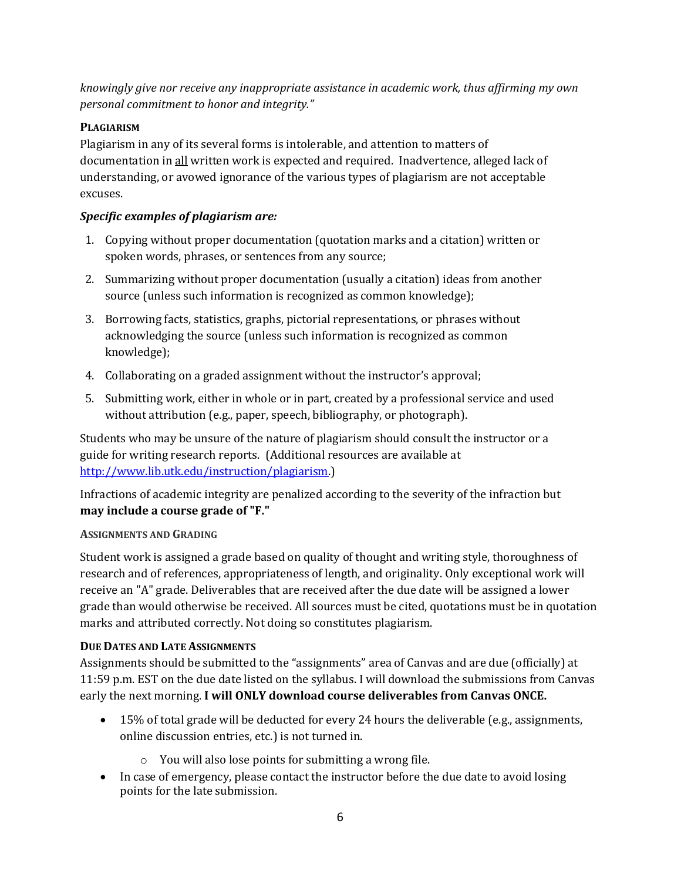*knowingly give nor receive any inappropriate assistance in academic work, thus affirming my own personal commitment to honor and integrity."* 

# **PLAGIARISM**

Plagiarism in any of its several forms is intolerable, and attention to matters of documentation in all written work is expected and required. Inadvertence, alleged lack of understanding, or avowed ignorance of the various types of plagiarism are not acceptable excuses.

# *Specific examples of plagiarism are:*

- 1. Copying without proper documentation (quotation marks and a citation) written or spoken words, phrases, or sentences from any source;
- 2. Summarizing without proper documentation (usually a citation) ideas from another source (unless such information is recognized as common knowledge);
- 3. Borrowing facts, statistics, graphs, pictorial representations, or phrases without acknowledging the source (unless such information is recognized as common knowledge);
- 4. Collaborating on a graded assignment without the instructor's approval;
- 5. Submitting work, either in whole or in part, created by a professional service and used without attribution (e.g., paper, speech, bibliography, or photograph).

Students who may be unsure of the nature of plagiarism should consult the instructor or a guide for writing research reports. (Additional resources are available at [http://www.lib.utk.edu/instruction/plagiarism.\)](http://www.lib.utk.edu/instruction/plagiarism)

Infractions of academic integrity are penalized according to the severity of the infraction but **may include a course grade of "F."** 

# **ASSIGNMENTS AND GRADING**

Student work is assigned a grade based on quality of thought and writing style, thoroughness of research and of references, appropriateness of length, and originality. Only exceptional work will receive an "A" grade. Deliverables that are received after the due date will be assigned a lower grade than would otherwise be received. All sources must be cited, quotations must be in quotation marks and attributed correctly. Not doing so constitutes plagiarism.

# **DUE DATES AND LATE ASSIGNMENTS**

Assignments should be submitted to the "assignments" area of Canvas and are due (officially) at 11:59 p.m. EST on the due date listed on the syllabus. I will download the submissions from Canvas early the next morning. **I will ONLY download course deliverables from Canvas ONCE.** 

- 15% of total grade will be deducted for every 24 hours the deliverable (e.g., assignments, online discussion entries, etc.) is not turned in.
	- o You will also lose points for submitting a wrong file.
- In case of emergency, please contact the instructor before the due date to avoid losing points for the late submission.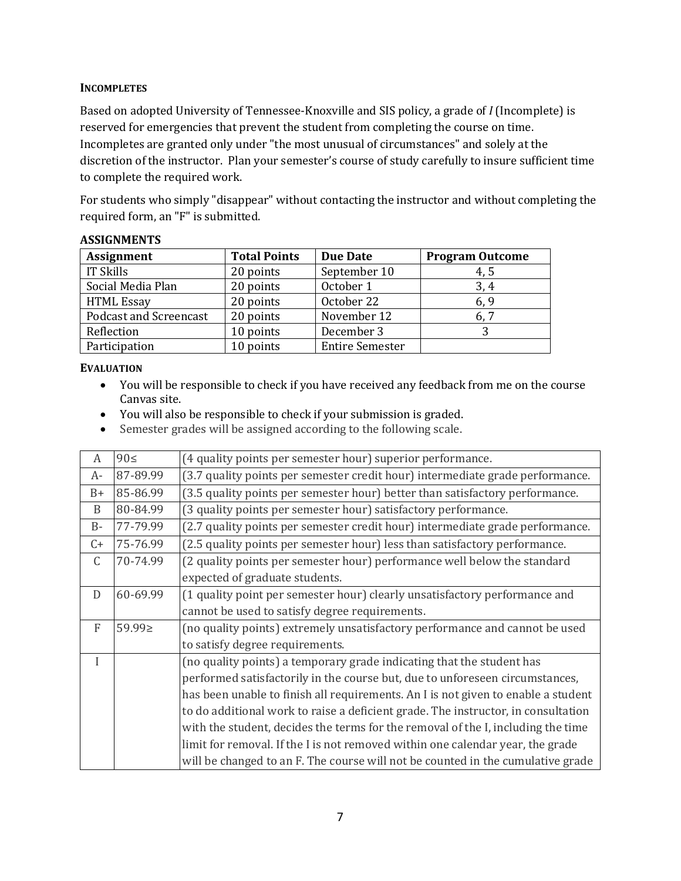#### **INCOMPLETES**

Based on adopted University of Tennessee-Knoxville and SIS policy, a grade of *I* (Incomplete) is reserved for emergencies that prevent the student from completing the course on time. Incompletes are granted only under "the most unusual of circumstances" and solely at the discretion of the instructor. Plan your semester's course of study carefully to insure sufficient time to complete the required work.

For students who simply "disappear" without contacting the instructor and without completing the required form, an "F" is submitted.

| <b>Assignment</b>             | <b>Total Points</b> | <b>Due Date</b>        | <b>Program Outcome</b> |
|-------------------------------|---------------------|------------------------|------------------------|
| IT Skills                     | 20 points           | September 10           | 4, 5                   |
| Social Media Plan             | 20 points           | October 1              | 3,4                    |
| <b>HTML Essay</b>             | 20 points           | October 22             | 6,9                    |
| <b>Podcast and Screencast</b> | 20 points           | November 12            | 6, 7                   |
| Reflection                    | 10 points           | December 3             | 3                      |
| Participation                 | 10 points           | <b>Entire Semester</b> |                        |

## **ASSIGNMENTS**

## **EVALUATION**

- You will be responsible to check if you have received any feedback from me on the course Canvas site.
- You will also be responsible to check if your submission is graded.
- Semester grades will be assigned according to the following scale.

| A            | $90 \leq$ | (4 quality points per semester hour) superior performance.                        |  |
|--------------|-----------|-----------------------------------------------------------------------------------|--|
| A-           | 87-89.99  | (3.7 quality points per semester credit hour) intermediate grade performance.     |  |
| $B+$         | 85-86.99  | (3.5 quality points per semester hour) better than satisfactory performance.      |  |
| B            | 80-84.99  | (3 quality points per semester hour) satisfactory performance.                    |  |
| $B -$        | 77-79.99  | (2.7 quality points per semester credit hour) intermediate grade performance.     |  |
| $C+$         | 75-76.99  | (2.5 quality points per semester hour) less than satisfactory performance.        |  |
| C            | 70-74.99  | (2 quality points per semester hour) performance well below the standard          |  |
|              |           | expected of graduate students.                                                    |  |
| D            | 60-69.99  | (1 quality point per semester hour) clearly unsatisfactory performance and        |  |
|              |           | cannot be used to satisfy degree requirements.                                    |  |
| $\mathbf{F}$ | 59.99≥    | (no quality points) extremely unsatisfactory performance and cannot be used       |  |
|              |           | to satisfy degree requirements.                                                   |  |
| L            |           | (no quality points) a temporary grade indicating that the student has             |  |
|              |           | performed satisfactorily in the course but, due to unforeseen circumstances,      |  |
|              |           | has been unable to finish all requirements. An I is not given to enable a student |  |
|              |           | to do additional work to raise a deficient grade. The instructor, in consultation |  |
|              |           | with the student, decides the terms for the removal of the I, including the time  |  |
|              |           | limit for removal. If the I is not removed within one calendar year, the grade    |  |
|              |           | will be changed to an F. The course will not be counted in the cumulative grade   |  |